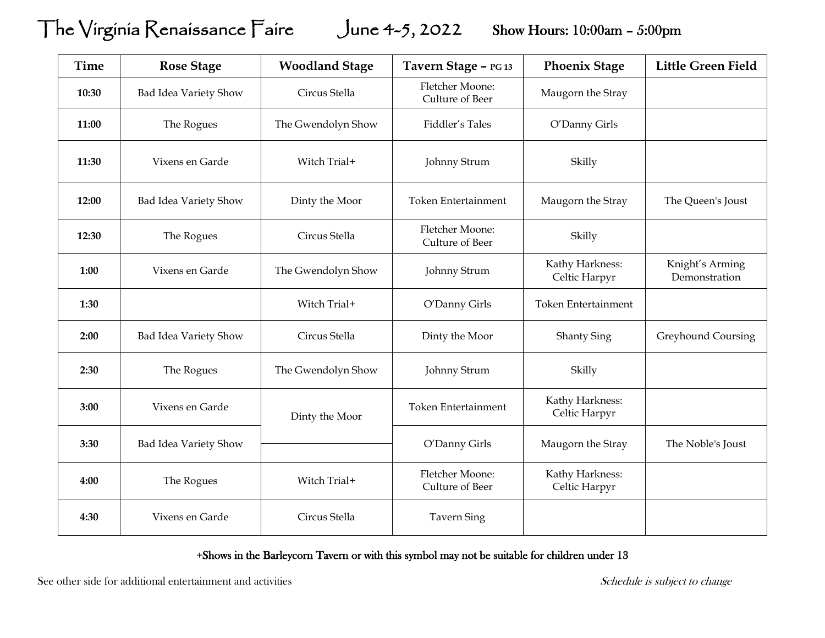## The Virginia Renaissance Faire June 4-5, 2022Show Hours: 10:00am – 5:00pm

| <b>Time</b> | <b>Rose Stage</b>     | <b>Woodland Stage</b> | Tavern Stage - PG 13               | <b>Phoenix Stage</b>             | <b>Little Green Field</b>        |
|-------------|-----------------------|-----------------------|------------------------------------|----------------------------------|----------------------------------|
| 10:30       | Bad Idea Variety Show | Circus Stella         | Fletcher Moone:<br>Culture of Beer | Maugorn the Stray                |                                  |
| 11:00       | The Rogues            | The Gwendolyn Show    | Fiddler's Tales                    | O'Danny Girls                    |                                  |
| 11:30       | Vixens en Garde       | Witch Trial+          | Johnny Strum                       | Skilly                           |                                  |
| 12:00       | Bad Idea Variety Show | Dinty the Moor        | <b>Token Entertainment</b>         | Maugorn the Stray                | The Queen's Joust                |
| 12:30       | The Rogues            | Circus Stella         | Fletcher Moone:<br>Culture of Beer | Skilly                           |                                  |
| 1:00        | Vixens en Garde       | The Gwendolyn Show    | Johnny Strum                       | Kathy Harkness:<br>Celtic Harpyr | Knight's Arming<br>Demonstration |
| 1:30        |                       | Witch Trial+          | O'Danny Girls                      | Token Entertainment              |                                  |
| 2:00        | Bad Idea Variety Show | Circus Stella         | Dinty the Moor                     | <b>Shanty Sing</b>               | Greyhound Coursing               |
| 2:30        | The Rogues            | The Gwendolyn Show    | Johnny Strum                       | Skilly                           |                                  |
| 3:00        | Vixens en Garde       | Dinty the Moor        | Token Entertainment                | Kathy Harkness:<br>Celtic Harpyr |                                  |
| 3:30        | Bad Idea Variety Show |                       | O'Danny Girls                      | Maugorn the Stray                | The Noble's Joust                |
| 4:00        | The Rogues            | Witch Trial+          | Fletcher Moone:<br>Culture of Beer | Kathy Harkness:<br>Celtic Harpyr |                                  |
| 4:30        | Vixens en Garde       | Circus Stella         | <b>Tavern Sing</b>                 |                                  |                                  |

+Shows in the Barleycorn Tavern or with this symbol may not be suitable for children under 13

See other side for additional entertainment and activities Schedule is subject to change